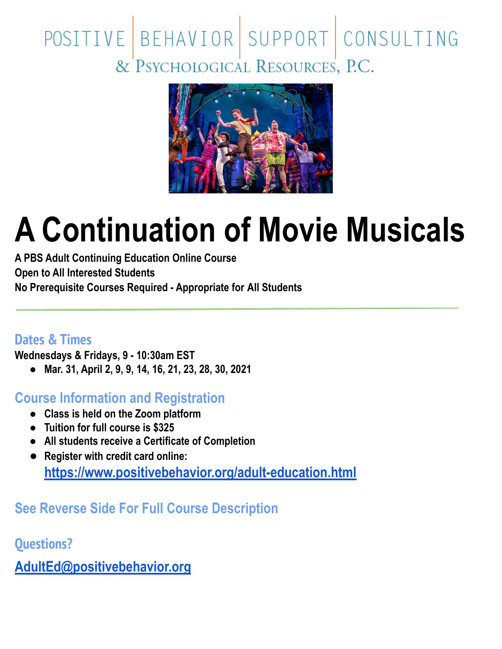# POSITIVE BEHAVIOR SUPPORT CONSULTING<br>& PSYCHOLOGICAL RESOURCES, P.C.



## **A Continuation of Movie Musicals**

**A PBS Adult Continuing Education Online Course Open to All Interested Students No Prerequisite Courses Required - Appropriate for All Students**

#### **Dates & Times**

**Wednesdays & Fridays, 9 - 10:30am EST**

**● Mar. 31, April 2, 9, 9, 14, 16, 21, 23, 28, 30, 2021**

**Course Information and Registration**

- **● Class is held on the Zoom platform**
- **● Tuition for full course is \$325**
- **● All students receive a Certificate of Completion**
- **● Register with credit card online: <https://www.positivebehavior.org/adult-education.html>**

### **See Reverse Side For Full Course Description**

**Questions?**

**[AdultEd@positivebehavior.org](mailto:AdultEd@positivebehavior.org)**